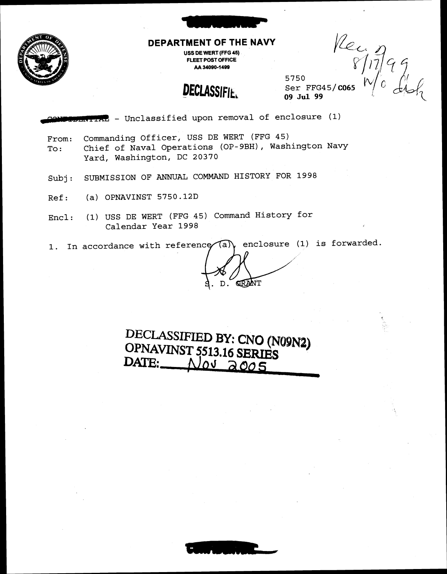

#### **DEPARTMENT OF THE NAVY**

**USS DE WERT (FFG 45) FLEET POST OFFICE AA 34090-1499** 

 $Vcc$ <br>
S/17/99<br>
Ser FFG45/**c065**  $N/0$  d/s/2

**DECLASSIFIE.** 

09 **Jul 99** 

5750

IAL - Unclassified upon removal of enclosure (1)

- From: Commanding Officer, USS DE WERT (FFG 45) To: Chief of Naval Operations (OP-9BH), Washington Navy Yard, Washington, DC 20370
- Subj: SUBMISSION OF ANNUAL COMMAND HISTORY FOR 1998
- Ref: (a) OPNAVINST 5750.12D
- Encl: (1) USS DE WERT (FFG 45) Command History for Calendar Year 1998 NUAL COMMAND HISTORY FOR 1998<br>
(FFG 45) Command History for<br>
ir 1998<br>
reference (a) enclosure (1) is forwarded.
- 1. In accordance with

GRANT  $D$ .

**DECLASSIFIED BY: CNO (N09N1) OPNAVINST 5513.16 SERIES**<br>**DATE:** <u>WOU aoo 5</u> **DATE:** 

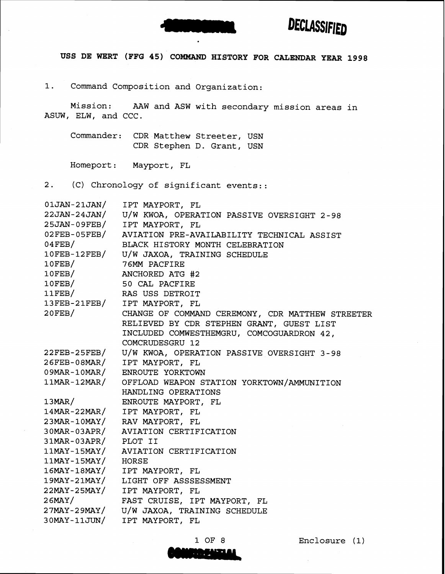



**USS DE WERT (FFG 45) COMMAND HISTORY FOR CALENDAR YEAR 1998** 

1. Command Composition and Organization:

Mission: AAW and ASW with secondary mission areas in ASUW, ELW, and CCC.

Commander: CDR Matthew Streeter, USN CDR Stephen D. Grant, USN

Homeport: Mayport, FL

2. (C) Chronology of significant events::

| $01$ JAN-21JAN/      | IPT MAYPORT, FL                                                        |
|----------------------|------------------------------------------------------------------------|
|                      | 22JAN-24JAN/ U/W KWOA, OPERATION PASSIVE OVERSIGHT 2-98                |
|                      | 25JAN-09FEB/ IPT MAYPORT, FL                                           |
|                      | 02FEB-05FEB/ AVIATION PRE-AVAILABILITY TECHNICAL ASSIST                |
| $04$ FEB/            | BLACK HISTORY MONTH CELEBRATION                                        |
|                      | 10FEB-12FEB/ U/W JAXOA, TRAINING SCHEDULE                              |
|                      | 10FEB/ 76MM PACFIRE<br>10FEB/ ANCHORED ATG #2<br>10FEB/ 50 CAL PACFIRE |
|                      | ANCHORED ATG #2                                                        |
|                      |                                                                        |
|                      | 11FEB/ RAS USS DETROIT                                                 |
|                      |                                                                        |
|                      |                                                                        |
|                      | RELIEVED BY CDR STEPHEN GRANT, GUEST LIST                              |
|                      | INCLUDED COMWESTHEMGRU, COMCOGUARDRON 42,                              |
|                      | <b>COMCRUDESGRU 12</b>                                                 |
|                      | 22FEB-25FEB/ U/W KWOA, OPERATION PASSIVE OVERSIGHT 3-98                |
|                      | 26FEB-08MAR/ IPT MAYPORT, FL                                           |
|                      | 09MAR-10MAR/ ENROUTE YORKTOWN                                          |
|                      | 11MAR-12MAR/ OFFLOAD WEAPON STATION YORKTOWN/AMMUNITION                |
|                      | HANDLING OPERATIONS                                                    |
|                      | 13MAR/ ENROUTE MAYPORT, FL                                             |
|                      | 14MAR-22MAR/ IPT MAYPORT, FL                                           |
|                      | 23MAR-10MAY/ RAV MAYPORT, FL                                           |
|                      | 30MAR-03APR/ AVIATION CERTIFICATION                                    |
| 31MAR-03APR/ PLOT II |                                                                        |
|                      | 11MAY-15MAY/ AVIATION CERTIFICATION                                    |
|                      | 11MAY-15MAY/ HORSE<br>16MAY-18MAY/ IPT MAYPORT, FL                     |
|                      |                                                                        |
|                      | 19MAY-21MAY/ LIGHT OFF ASSSESSMENT                                     |
| $22$ MAY-25MAY/      | IPT MAYPORT, FL                                                        |
| $26$ MAY/            | FAST CRUISE, IPT MAYPORT, FL                                           |
|                      | 27MAY-29MAY/ U/W JAXOA, TRAINING SCHEDULE                              |
|                      | 30MAY-11JUN/ IPT MAYPORT, FL                                           |

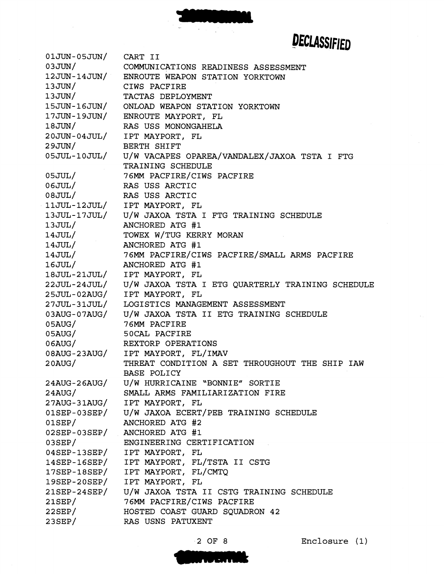$01JUN-05JUN/$ CART I1 03JUN/ COMMUNICATIONS READINESS ASSESSMENT 12JUN-14JUN/ ENROUTE WEAPON STATION YORKTOWN  $13JUN/$ CIWS PACFIRE  $13JUN/$ TACTAS DEPLOYMENT 15JUN-16JUN/ ONLOAD WEAPON STATION YORKTOWN 17JUN-19JUN/ ENROUTE MAYPORT, FL  $18JUN/$ RAS USS MONONGAHELA  $20$ JUN-0 $4$ JUL/ IPT MAYPORT, FL  $29JUN/$ BERTH SHIFT 05JUL-10JUL/ U/W VACAPES OPAREA/VANDALEX/JAXOA TSTA I FTG TRAINING SCHEDULE  $05JUL/$ **76MM** PACFIRE/CIWS PACFIRE  $06JUL/$ RAS USS ARCTIC  $08JUL/$ RAS USS ARCTIC IPT MAYPORT, FL 11JUL-12JUL/ 13JUL-17JUL/ U/W JAXOA TSTA I FTG TRAINING SCHEDULE  $13JUL/$ ANCHORED ATG **#1**   $14JUL/$ TOWEX W/TUG KERRY MORAN  $14JUL/$ ANCHORED ATG **#1**   $14JUL/$ **76MM** PACFIRE/CIWS PACFIRE/SMALL ARMS PACFIRE ANCHORED ATG **#1**   $16JUL/$ 18JUL-21JUL/ IPT MAYPORT, FL 22JUL-24JUL/ U/W JAXOA TSTA I ETG QUARTERLY TRAINING SCHEDULE 25JUL-02AUG/ IPT MAYPORT, FL LOGISTICS MANAGEMENT ASSESSMENT 27JUL-31JUL/ U/W JAXOA TSTA I1 ETG TRAINING SCHEDULE  $03AUG-07AUG/$  $05AUG/$ **76MM** PACFIRE 50CAL PACFIRE  $05AUG/$  $06$ AUG $/$ REXTORP OPERATIONS IPT MAYPORT, FL/IMAV  $08AUG - 23AUG/$ THREAT CONDITION A SET THROUGHOUT THE SHIP IAW  $20$ AUG/ BASE POLICY U/W HURRICAINE "BONNIE" SORTIE  $24 \text{A} \text{UG}$  -  $26 \text{A} \text{UG}$  / SMALL ARMS FAMILIARIZATION FIRE  $24AUG/$  $27AUG-31AUG/$ IPT MAYPORT, FL  $01$ SEP-03SEP/ U/W JAXOA ECERT/PEB TRAINING SCHEDULE ANCHORED ATG **#2**   $01$ SEP $/$ 02SEP-03SEP/ ANCHORED ATG #1  $03$ SEP $/$ ENGINEERING CERTIFICATION IPT MAYPORT, FL  $04$ SEP-13SEP/  $14$ SEP-16SEP/ IPT MAYPORT, FL/TSTA I1 CSTG IPT MAYPORT, FL/CMTQ  $17$ SEP- $18$ SEP/ IPT MAYPORT, FL 19SEP-20SEP/ 21SEP-24SEP/ U/W JAXOA TSTA II CSTG TRAINING SCHEDULE **76MM** PACFIRE/CIWS PACFIRE  $21$ SEP $/$  $22$ SEP $/$ HOSTED COAST GUARD SQUADRON **42**   $23SEP/$ RAS USNS PATUXENT

**2** OF **8** Enclosure **(1)** 

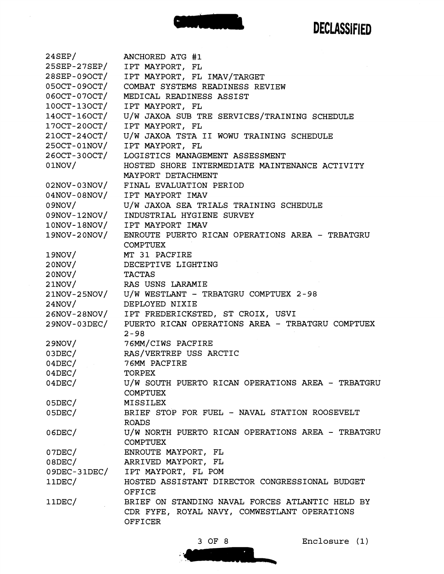

 $24$ SEP/ ANCHORED ATG **#1**  25SEP-27SEP/ IPT MAYPORT, FL 28SEP-09OCT/ IPT MAYPORT, FL IMAV/TARGET 05OCT-09OCT/ COMBAT SYSTEMS READINESS REVIEW 06OCT-07OCT/ MEDICAL READINESS ASSIST 100CT-130CT/ IPT MAYPORT, FL 140CT-160CT/ U/W JAXOA SUB TRE SERVICES/TRAINING SCHEDULE IPT MAYPORT, FL U/W JAXOA TSTA I1 WOWU TRAINING SCHEDULE 250CT-01NOV/ IPT MAYPORT, FL 260CT-300CT/ LOGISTICS MANAGEMENT ASSESSMENT  $01NOV/$ HOSTED SHORE INTERMEDIATE MAINTENANCE ACTIVITY MAYPORT DETACHMENT  $02\textnormal{NOV}$  -  $03\textnormal{NOV}$  / FINAL EVALUATION PERIOD 04NOV-08NOV/ IPT MAYPORT IMAV 09NOV/ U/W JAXOA SEA TRIALS TRAINING SCHEDULE  $09NOV-12NOV/$ INDUSTRIAL HYGIENE SURVEY  $10NOV-18NOV/$ IPT MAYPORT IMAV 19NOV-20NOV/ ENROUTE PUERTO RICAN OPERATIONS AREA - TRBATGRU COMPTUEX  $19NOV/$ MT **31** PACFIRE  $20NOV/$ DECEPTIVE LIGHTING  $20NOV/$ TACTAS  $21NOV/$ RAS USNS LARAMIE 21NOV-25NOV/ U/W WESTLANT - TRBATGRU COMPTUEX 2-98 DEPLOYED NIXIE  $24NOV/$ 26NOV-28NOV/ IPT FREDERICKSTED, ST CROIX, USVI 29NOV-03DEC/ PUERTO RICAN OPERATIONS AREA - TRBATGRU COMPTUEX 2-98 76MM/CIWS PACFIRE  $29NOV/$  $03DEC/$ RAS/VERTREP uss ARCTIC  $04$ DEC $/$ 76MM PACFIRE  $04$ DEC $/$ TORPEX  $04$ DEC $/$ u/W SOUTH PUERTO RICAN OPERATIONS AREA - TRBATGRU COMPTUEX  $05$ DEC $/$ MISSILEX BRIEF STOP FOR FUEL - NAVAL STATION ROOSEVELT  $05$ DEC $/$ ROADS  $06$ DEC $/$ U/W NORTH PUERTO RICAN OPERATIONS AREA - TRBATGRU COMPTUEX ENROUTE MAYPORT, FL  $07$ DEC $/$ ARRIVED MAYPORT, FL  $08$ DEC $/$  $09DEC-31DEC/$ IPT MAYPORT, FL POM  $11DEC/$ HOSTED ASSISTANT DIRECTOR CONGRESSIONAL BUDGET OFFICE  $11$ DEC $/$ BRIEF ON STANDING NAVAL FORCES ATLANTIC HELD BY CDR FYFE, ROYAL NAVY, COMWESTLANT OPERATIONS OFFICER

**3** OF 8 Enclosure (1)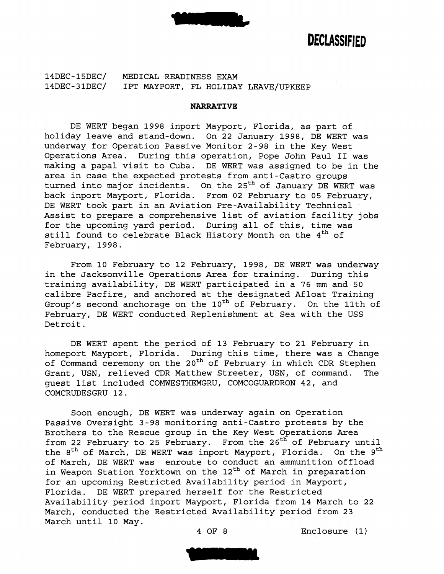

14DEC-15DEC/ MEDICAL READINESS EXAM 14DEC-31DEC/ IPT MAYPORT, FL HOLIDAY LEAVE/UPKEEP

#### **NARRATIVE**

DE WERT began 1998 inport Mayport, Florida, as part of holiday leave and stand-down. On 22 January 1998, DE WERT was underway for Operation Passive Monitor 2-98 in the Key West Operations Area. During this operation, Pope John Paul I1 was making a papal visit to Cuba. DE WERT was assigned to be in the area in case the expected protests from anti-Castro groups turned into major incidents. On the 25<sup>th</sup> of January DE WERT was back inport Mayport, Florida. From 02 February to 05 February, DE WERT took part in an Aviation Pre-Availability Technical Assist to prepare a comprehensive list of aviation facility jobs for the upcoming yard period. During all of this, time was still found to celebrate Black History Month on the 4<sup>th</sup> of February, 1998.

From 10 February to 12 February, 1998, DE WERT was underway in the Jacksonville Operations Area for training. During this training availability, DE WERT participated in a 76 mm and 50 calibre Pacfire, and anchored at the designated Afloat Training Group's second anchorage on the  $10^{th}$  of February. On the 11th of February, DE WERT conducted Replenishment at Sea with the USS Detroit.

DE WERT spent the period of 13 February to 21 February in homeport Mayport, Florida. During this time, there was a Change of Command ceremony on the 20<sup>th</sup> of February in which CDR Stephen Grant, USN, relieved CDR Matthew Streeter, USN, of command. The guest list included COMWESTHEMGRU, COMCOGUARDRON 42, and COMCRUDESGRU 12.

Soon enough, DE WERT was underway again on Operation Passive Oversight 3-98 monitoring anti-Castro protests by the Brothers to the Rescue group in the Key West Operations Area from 22 February to 25 February. From the 26<sup>th</sup> of February until the 8<sup>th</sup> of March, DE WERT was inport Mayport, Florida. On the 9<sup>th</sup> of March, DE WERT was enroute to conduct an ammunition offload in Weapon Station Yorktown on the 12<sup>th</sup> of March in preparation for an upcoming Restricted Availability period in Mayport, Florida. DE WERT prepared herself for the Restricted Availability period inport Mayport, Florida from 14 March to 22 March, conducted the Restricted Availability period from 23 March until 10 May.

4 OF 8 Enclosure (1)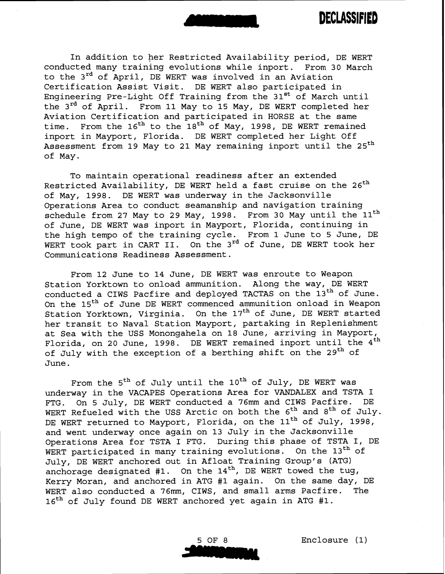

In addition to her Restricted Availability period, DE WERT conducted many training evolutions while inport. From 30 March to the 3rd of April, DE WERT was involved in an Aviation Certification Assist Visit. DE WERT also participated in Engineering Pre-Light Off Training from the 31<sup>st</sup> of March until the 3<sup>rd</sup> of April. From 11 May to 15 May, DE WERT completed her Aviation Certification and participated in HORSE at the same time. From the  $16<sup>th</sup>$  to the  $18<sup>th</sup>$  of May, 1998, DE WERT remained inport in Mayport, Florida. DE WERT completed her Light Off Assessment from 19 May to 21 May remaining inport until the 25<sup>th</sup> of May.

To maintain operational readiness after an extended Restricted Availability, DE WERT held a fast cruise on the  $26<sup>th</sup>$ of May, 1998. DE WERT was underway in the Jacksonville Operations Area to conduct seamanship and navigation training schedule from 27 May to 29 May, 1998. From 30 May until the  $11<sup>th</sup>$ of June, DE WERT was inport in Mayport, Florida, continuing in the high tempo of the training cycle. From 1 June to 5 June, DE WERT took part in CART II. On the 3<sup>rd</sup> of June, DE WERT took her Communications Readiness Assessment.

From 12 June to 14 June, DE WERT was enroute to Weapon Station Yorktown to onload ammunition. Along the way, DE WERT conducted a CIWS Pacfire and deployed TACTAS on the 13<sup>th</sup> of June. On the 15<sup>th</sup> of June DE WERT commenced ammunition onload in Weapon Station Yorktown, Virginia. On the 17<sup>th</sup> of June, DE WERT started her transit to Naval Station Mayport, partaking in Replenishment at Sea with the USS Monongahela on 18 June, arriving in Mayport, Florida, on 20 June, 1998. DE WERT remained inport until the 4<sup>th</sup> of July with the exception of a berthing shift on the 29<sup>th</sup> of June.

From the  $5<sup>th</sup>$  of July until the 10<sup>th</sup> of July, DE WERT was underway in the VACAPES Operations Area for VANDALEX and TSTA I FTG. On 5 July, DE WERT conducted a **76mm** and CIWS Pacfire. DE WERT Refueled with the USS Arctic on both the  $6^{th}$  and  $8^{th}$  of July. DE WERT returned to Mayport, Florida, on the 11<sup>th</sup> of July, 1998, and went underway once again on 13 July in the Jacksonville Operations Area for TSTA I FTG. During this phase of TSTA I, DE WERT participated in many training evolutions. On the  $13<sup>th</sup>$  of July, DE WERT anchored out in Afloat Training Group's (ATG) anchorage designated #1. On the  $14<sup>th</sup>$ , DE WERT towed the tug, Kerry Moran, and anchored in ATG #1 again. On the same day, DE WERT also conducted a 76mm, CIWS, and small arms Pacfire. The 16<sup>th</sup> of July found DE WERT anchored yet again in ATG #1.

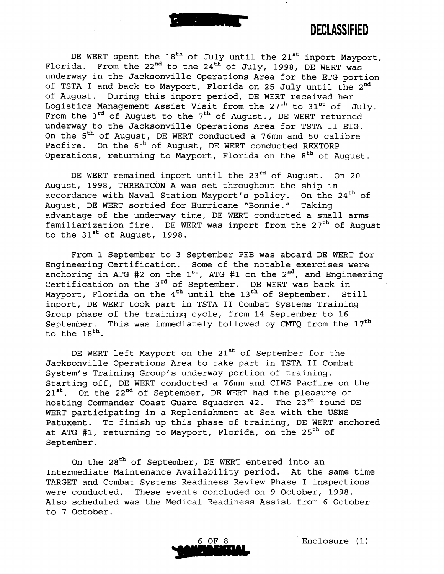

DE WERT spent the  $18<sup>th</sup>$  of July until the  $21<sup>st</sup>$  inport Mayport, Florida. From the 22<sup>nd</sup> to the 24<sup>th</sup> of July, 1998, DE WERT was underway in the Jacksonville Operations Area for the ETG portion of TSTA I and back to Mayport, Florida on 25 July until the 2<sup>nd</sup> of August. During this inport period, DE WERT received her Logistics Management Assist Visit from the  $27<sup>th</sup>$  to  $31<sup>st</sup>$  of July. From the  $3^{rd}$  of August to the  $7^{th}$  of August., DE WERT returned underway to the Jacksonville Operations Area for TSTA I1 ETG. On the  $5<sup>th</sup>$  of August, DE WERT conducted a 76mm and 50 calibre Pacfire. On the 6<sup>th</sup> of August, DE WERT conducted REXTORP Operations, returning to Mayport, Florida on the  $8<sup>th</sup>$  of August.

DE WERT remained inport until the 23<sup>rd</sup> of August. On 20 August, 1998, THREATCON A was set throughout the ship in accordance with Naval Station Mayport's policy. On the 24<sup>th</sup> of August, DE WERT sortied for Hurricane "Bonnie." Taking advantage of the underway time, DE WERT conducted a small arms familiarization fire. DE WERT was inport from the  $27<sup>th</sup>$  of August to the 31<sup>st</sup> of August, 1998.

From 1 September to 3 September PEB was aboard DE WERT for Engineering Certification. Some of the notable exercises were anchoring in ATG #2 on the  $1^{st}$ , ATG #1 on the  $2^{nd}$ , and Engineering Certification on the 3<sup>rd</sup> of September. DE WERT was back in Mayport, Florida on the 4<sup>th</sup> until the 13<sup>th</sup> of September. Still inport, DE WERT took part in TSTA **I1** Combat Systems Training Group phase of the training cycle, from 14 September to 16 September. This was immediately followed by CMTQ from the  $17<sup>th</sup>$ to the  $18^{th}$ .

DE WERT left Mayport on the 21<sup>st</sup> of September for the Jacksonville Operations Area to take part in TSTA I1 Combat System's Training Group's underway portion of training. Starting off, DE WERT conducted a 76mm and CIWS Pacfire on the 21<sup>st</sup>. On the 22<sup>nd</sup> of September, DE WERT had the pleasure of hosting Commander Coast Guard Squadron 42. The 23rd found DE WERT participating in a Replenishment at Sea with the USNS Patuxent. To finish up this phase of training, DE WERT anchored at ATG #1, returning to Mayport, Florida, on the 25<sup>th</sup> of September.

On the 28<sup>th</sup> of September, DE WERT entered into an Intermediate Maintenance Availability period. At the same time TARGET and Combat Systems Readiness Review Phase I inspections were conducted. These events concluded on 9 October, 1998. Also scheduled was the Medical Readiness Assist from 6 October to 7 October.

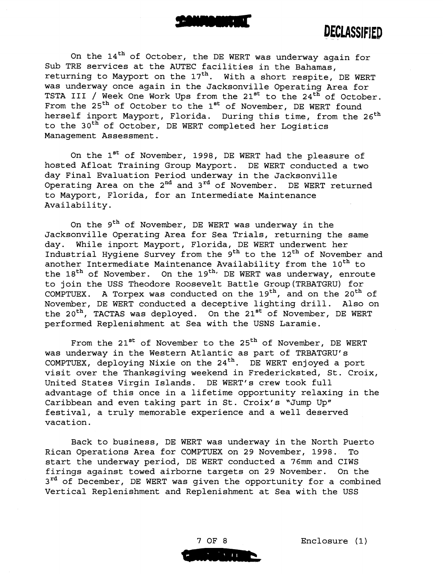

On the 14<sup>th</sup> of October, the DE WERT was underway again for Sub TRE services at the AUTEC facilities in the Bahamas, returning to Mayport on the  $17<sup>th</sup>$ . With a short respite, DE WERT was underway once again in the Jacksonville Operating Area for TSTA III / Week One Work Ups from the  $21^{st}$  to the  $24^{t}$  of October. From the 25<sup>th</sup> of October to the 1<sup>st</sup> of November, DE WERT found herself inport Mayport, Florida. During this time, from the 26<sup>th</sup> to the 30<sup>th</sup> of October, DE WERT completed her Logistics Management Assessment.

On the  $1^{st}$  of November, 1998, DE WERT had the pleasure of hosted Afloat Training Group Mayport. DE WERT conducted a two day Final Evaluation Period underway in the Jacksonville Operating Area on the  $2^{nd}$  and  $3^{rd}$  of November. DE WERT returned to Mayport, Florida, for an Intermediate Maintenance Availability.

On the  $9<sup>th</sup>$  of November, DE WERT was underway in the Jacksonville Operating Area for Sea Trials, returning the same day. While inport Mayport, Florida, DE WERT underwent her Industrial Hygiene Survey from the  $9<sup>th</sup>$  to the  $12<sup>th</sup>$  of November and another Intermediate Maintenance Availability from the 10<sup>th</sup> to the  $18<sup>th</sup>$  of November. On the  $19<sup>th</sup>$  DE WERT was underway, enroute to join the USS Theodore Roosevelt Battle Group(TRBATGRU) for COMPTUEX. A Torpex was conducted on the  $19<sup>th</sup>$ , and on the  $20<sup>th</sup>$  of November, DE WERT conducted a deceptive lighting drill. Also on the 20<sup>th</sup>, TACTAS was deployed. On the 21<sup>st</sup> of November, DE WERT performed Replenishment at Sea with the USNS Laramie.

From the 21<sup>st</sup> of November to the 25<sup>th</sup> of November, DE WERT was underway in the Western Atlantic as part of TRBATGRU's COMPTUEX, deploying Nixie on the  $24<sup>th</sup>$ . DE WERT enjoyed a port visit over the Thanksgiving weekend in Fredericksted, St. Croix, United States Virgin Islands. DE WERT's crew took full advantage of this once in a lifetime opportunity relaxing in the Caribbean and even taking part in St. Croix's "Jump Up" festival, a truly memorable experience and a well deserved vacation.

Back to business, DE WERT was underway in the North Puerto Rican Operations Area for COMPTUEX on 29 November, 1998. To start the underway period, DE WERT conducted a 76mm and CIWS firings against towed airborne targets on 29 November. On the 3<sup>rd</sup> of December, DE WERT was given the opportunity for a combined Vertical Replenishment and Replenishment at Sea with the USS

7 OF 8  $\mathcal{N}=\{\pm\}$